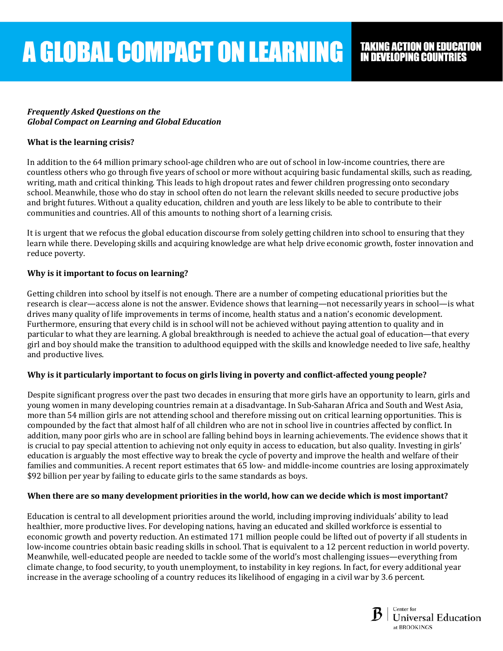### *Frequently Asked Questions on the Global Compact on Learning and Global Education*

# **What is the learning crisis?**

In addition to the 64 million primary school-age children who are out of school in low-income countries, there are countless others who go through five years of school or more without acquiring basic fundamental skills, such as reading, writing, math and critical thinking. This leads to high dropout rates and fewer children progressing onto secondary school. Meanwhile, those who do stay in school often do not learn the relevant skills needed to secure productive jobs and bright futures. Without a quality education, children and youth are less likely to be able to contribute to their communities and countries. All of this amounts to nothing short of a learning crisis.

It is urgent that we refocus the global education discourse from solely getting children into school to ensuring that they learn while there. Developing skills and acquiring knowledge are what help drive economic growth, foster innovation and reduce poverty.

## **Why is it important to focus on learning?**

Getting children into school by itself is not enough. There are a number of competing educational priorities but the research is clear—access alone is not the answer. Evidence shows that learning—not necessarily years in school—is what drives many quality of life improvements in terms of income, health status and a nation's economic development. Furthermore, ensuring that every child is in school will not be achieved without paying attention to quality and in particular to what they are learning. A global breakthrough is needed to achieve the actual goal of education—that every girl and boy should make the transition to adulthood equipped with the skills and knowledge needed to live safe, healthy and productive lives.

### **Why is it particularly important to focus on girls living in poverty and conflict-affected young people?**

Despite significant progress over the past two decades in ensuring that more girls have an opportunity to learn, girls and young women in many developing countries remain at a disadvantage. In Sub-Saharan Africa and South and West Asia, more than 54 million girls are not attending school and therefore missing out on critical learning opportunities. This is compounded by the fact that almost half of all children who are not in school live in countries affected by conflict. In addition, many poor girls who are in school are falling behind boys in learning achievements. The evidence shows that it is crucial to pay special attention to achieving not only equity in access to education, but also quality. Investing in girls' education is arguably the most effective way to break the cycle of poverty and improve the health and welfare of their families and communities. A recent report estimates that 65 low- and middle-income countries are losing approximately \$92 billion per year by failing to educate girls to the same standards as boys.

### **When there are so many development priorities in the world, how can we decide which is most important?**

Education is central to all development priorities around the world, including improving individuals' ability to lead healthier, more productive lives. For developing nations, having an educated and skilled workforce is essential to economic growth and poverty reduction. An estimated 171 million people could be lifted out of poverty if all students in low-income countries obtain basic reading skills in school. That is equivalent to a 12 percent reduction in world poverty. Meanwhile, well-educated people are needed to tackle some of the world's most challenging issues—everything from climate change, to food security, to youth unemployment, to instability in key regions. In fact, for every additional year increase in the average schooling of a country reduces its likelihood of engaging in a civil war by 3.6 percent.

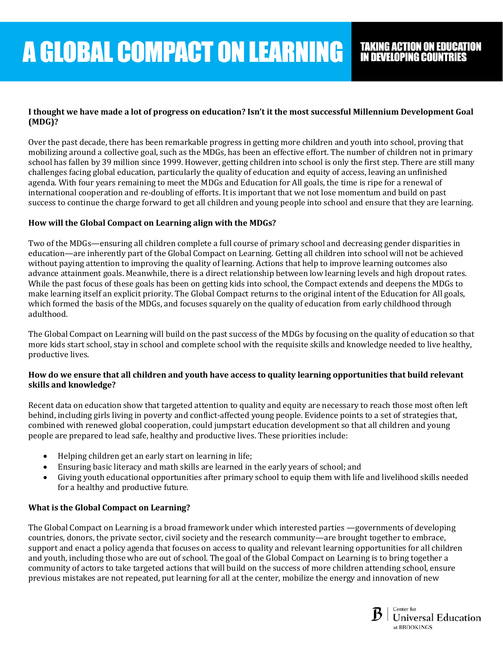# **A GLOBAL COMPACT ON LEARNING**

## **I thought we have made a lot of progress on education? Isn't it the most successful Millennium Development Goal (MDG)?**

Over the past decade, there has been remarkable progress in getting more children and youth into school, proving that mobilizing around a collective goal, such as the MDGs, has been an effective effort. The number of children not in primary school has fallen by 39 million since 1999. However, getting children into school is only the first step. There are still many challenges facing global education, particularly the quality of education and equity of access, leaving an unfinished agenda. With four years remaining to meet the MDGs and Education for All goals, the time is ripe for a renewal of international cooperation and re-doubling of efforts. It is important that we not lose momentum and build on past success to continue the charge forward to get all children and young people into school and ensure that they are learning.

# **How will the Global Compact on Learning align with the MDGs?**

Two of the MDGs—ensuring all children complete a full course of primary school and decreasing gender disparities in education—are inherently part of the Global Compact on Learning. Getting all children into school will not be achieved without paying attention to improving the quality of learning. Actions that help to improve learning outcomes also advance attainment goals. Meanwhile, there is a direct relationship between low learning levels and high dropout rates. While the past focus of these goals has been on getting kids into school, the Compact extends and deepens the MDGs to make learning itself an explicit priority. The Global Compact returns to the original intent of the Education for All goals, which formed the basis of the MDGs, and focuses squarely on the quality of education from early childhood through adulthood.

The Global Compact on Learning will build on the past success of the MDGs by focusing on the quality of education so that more kids start school, stay in school and complete school with the requisite skills and knowledge needed to live healthy, productive lives.

### **How do we ensure that all children and youth have access to quality learning opportunities that build relevant skills and knowledge?**

Recent data on education show that targeted attention to quality and equity are necessary to reach those most often left behind, including girls living in poverty and conflict-affected young people. Evidence points to a set of strategies that, combined with renewed global cooperation, could jumpstart education development so that all children and young people are prepared to lead safe, healthy and productive lives. These priorities include:

- Helping children get an early start on learning in life;
- Ensuring basic literacy and math skills are learned in the early years of school; and
- Giving youth educational opportunities after primary school to equip them with life and livelihood skills needed for a healthy and productive future.

# **What is the Global Compact on Learning?**

The Global Compact on Learning is a broad framework under which interested parties —governments of developing countries, donors, the private sector, civil society and the research community—are brought together to embrace, support and enact a policy agenda that focuses on access to quality and relevant learning opportunities for all children and youth, including those who are out of school. The goal of the Global Compact on Learning is to bring together a community of actors to take targeted actions that will build on the success of more children attending school, ensure previous mistakes are not repeated, put learning for all at the center, mobilize the energy and innovation of new